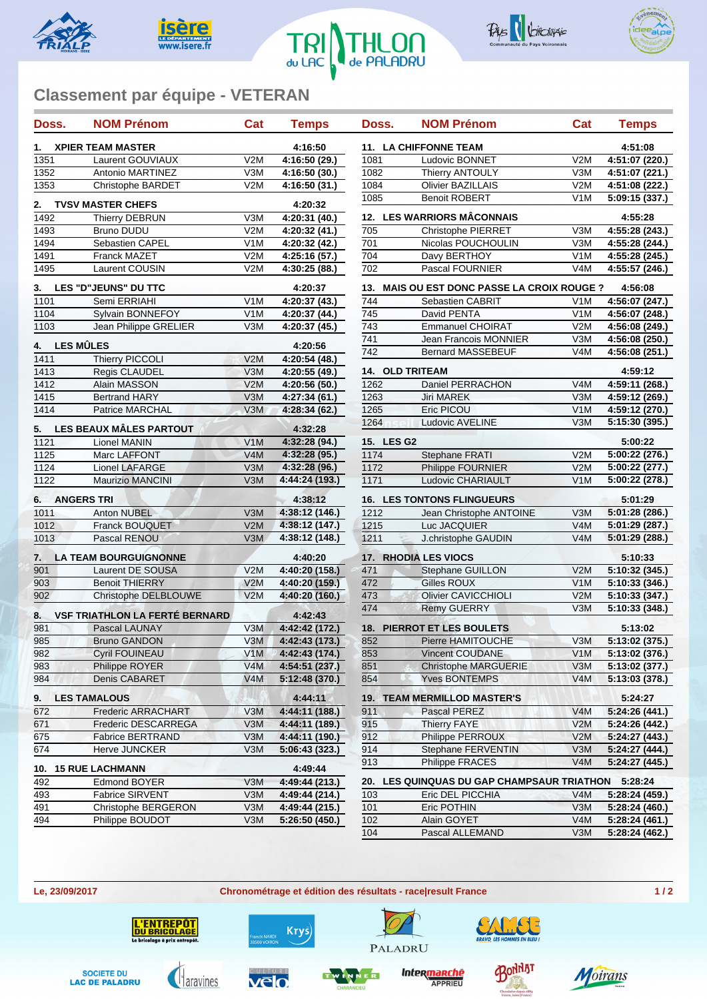









## **Classement par équipe - VETERAN**

| Doss.                              | <b>NOM Prénom</b>                                      | Cat              | <b>Temps</b>              | Doss.                  | <b>NOM Prénom</b>                       | Cat              | <b>Temps</b>   |
|------------------------------------|--------------------------------------------------------|------------------|---------------------------|------------------------|-----------------------------------------|------------------|----------------|
| 1.                                 | <b>XPIER TEAM MASTER</b>                               |                  | 4:16:50                   |                        | <b>11. LA CHIFFONNE TEAM</b>            |                  | 4:51:08        |
| 1351                               | Laurent GOUVIAUX                                       | V2M              | 4:16:50 (29.)             | 1081                   | Ludovic BONNET                          | V2M              | 4:51:07 (220.) |
| 1352                               | Antonio MARTINEZ                                       | V3M              | 4:16:50 (30.)             | 1082                   | <b>Thierry ANTOULY</b>                  | V3M              | 4:51:07 (221.) |
| 1353                               | <b>Christophe BARDET</b>                               | V2M              | 4:16:50(31.)              | 1084                   | <b>Olivier BAZILLAIS</b>                | V2M              | 4:51:08 (222.) |
| 2.                                 | <b>TVSV MASTER CHEFS</b>                               |                  | 4:20:32                   | 1085                   | <b>Benoit ROBERT</b>                    | V <sub>1</sub> M | 5:09:15 (337.) |
| 1492                               | <b>Thierry DEBRUN</b>                                  | V3M              | 4:20:31 (40.)             |                        | 12. LES WARRIORS MÂCONNAIS              |                  | 4:55:28        |
| 1493                               | <b>Bruno DUDU</b>                                      | V2M              | 4:20:32 (41.)             | 705                    | <b>Christophe PIERRET</b>               | V3M              | 4:55:28 (243.) |
| 1494                               | Sebastien CAPEL                                        | V1M              | 4:20:32 (42.)             | 701                    | Nicolas POUCHOULIN                      | V3M              | 4:55:28 (244.) |
| 1491                               | <b>Franck MAZET</b>                                    | V2M              | 4:25:16 (57.)             | $\overline{704}$       | Davy BERTHOY                            | V <sub>1</sub> M | 4:55:28 (245.) |
| 1495                               | Laurent COUSIN                                         | V2M              | 4:30:25 (88.)             | 702                    | Pascal FOURNIER                         | V <sub>4</sub> M | 4:55:57 (246.) |
| 3.                                 | LES "D"JEUNS" DU TTC                                   |                  | 4:20:37                   | 13.                    | MAIS OU EST DONC PASSE LA CROIX ROUGE ? |                  | 4:56:08        |
| 1101                               | Semi ERRIAHI                                           | V <sub>1</sub> M | 4:20:37 (43.)             | 744                    | Sebastien CABRIT                        | V <sub>1</sub> M | 4:56:07 (247.) |
| 1104                               | Sylvain BONNEFOY                                       | V1M              | 4:20:37 (44.)             | $\overline{745}$       | David PENTA                             | V <sub>1</sub> M | 4:56:07 (248.) |
| 1103                               | Jean Philippe GRELIER                                  | V3M              | 4:20:37(45)               | 743                    | <b>Emmanuel CHOIRAT</b>                 | V2M              | 4:56:08 (249.) |
|                                    |                                                        |                  |                           | 741                    | Jean Francois MONNIER                   | V3M              | 4:56:08 (250.) |
| 4.                                 | <b>LES MÛLES</b>                                       |                  | 4:20:56                   | 742                    | <b>Bernard MASSEBEUF</b>                | V <sub>4</sub> M | 4:56:08 (251.) |
| 1411                               | Thierry PICCOLI                                        | V2M              | 4:20:54 (48.)             |                        |                                         |                  |                |
| 1413                               | Regis CLAUDEL                                          | V3M              | 4:20:55 (49.)             | <b>14. OLD TRITEAM</b> |                                         |                  | 4:59:12        |
| 1412                               | Alain MASSON                                           | V2M              | 4:20:56 (50.)             | 1262                   | Daniel PERRACHON                        | V4M              | 4:59:11 (268.) |
| 1415                               | <b>Bertrand HARY</b>                                   | V3M              | 4:27:34 (61.)             | 1263                   | Jiri MAREK                              | V3M              | 4:59:12 (269.) |
| 1414                               | Patrice MARCHAL                                        | V3M              | 4:28:34 (62.)             | 1265                   | Eric PICOU                              | V1M              | 4:59:12 (270.) |
| 5.                                 | LES BEAUX MÂLES PARTOUT                                |                  | 4:32:28                   | 1264                   | <b>Ludovic AVELINE</b>                  | V3M              | 5:15:30 (395.) |
| 1121                               | Lionel MANIN                                           | V1M              | 4:32:28(94.)              | 15. LES G2             |                                         |                  | 5:00:22        |
| 1125                               | Marc LAFFONT                                           | V4M              | 4:32:28 (95.)             | 1174                   | <b>Stephane FRATI</b>                   | V2M              | 5:00:22 (276.) |
| 1124                               | <b>Lionel LAFARGE</b>                                  | V3M              | 4:32:28 (96.)             | 1172                   | Philippe FOURNIER                       | V2M              | 5:00:22 (277.) |
| 1122                               | <b>Maurizio MANCINI</b>                                | V3M              | 4:44:24 (193.)            | 1171                   | Ludovic CHARIAULT                       | V1M              | 5:00:22 (278.) |
| 6.                                 | <b>ANGERS TRI</b>                                      |                  | 4:38:12                   |                        | <b>16. LES TONTONS FLINGUEURS</b>       |                  | 5:01:29        |
| 1011                               | Anton NUBEL                                            | V3M              | 4:38:12 (146.)            | 1212                   | Jean Christophe ANTOINE                 | V3M              | 5:01:28 (286.) |
| 1012                               | Franck BOUQUET                                         | V2M              | 4:38:12 (147.)            | 1215                   | Luc JACQUIER                            | V4M              | 5:01:29 (287.) |
| 1013                               | Pascal RENOU                                           | V3M              | 4:38:12 (148.)            | 1211                   | J.christophe GAUDIN                     | V4M              | 5:01:29 (288.) |
| <b>LA TEAM BOURGUIGNONNE</b><br>7. |                                                        |                  | 4:40:20                   |                        | <b>17. RHODIA LES VIOCS</b>             |                  | 5:10:33        |
| 901                                | Laurent DE SOUSA                                       | V2M              | 4:40:20 (158.)            | 471                    | <b>Stephane GUILLON</b>                 | V2M              | 5:10:32 (345.) |
| 903                                | <b>Benoit THIERRY</b>                                  | V2M              | 4:40:20 (159.)            | 472                    | Gilles ROUX                             | V1M              | 5:10:33 (346.) |
| 902                                | Christophe DELBLOUWE                                   | V2M              | 4:40:20 (160.)            | 473                    | Olivier CAVICCHIOLI                     | V2M              | 5:10:33 (347.) |
|                                    |                                                        |                  |                           | 474                    | <b>Remy GUERRY</b>                      | V3M              | 5:10:33 (348.) |
| 8.<br>981                          | <b>VSF TRIATHLON LA FERTÉ BERNARD</b><br>Pascal LAUNAY | V3M              | 4:42:43<br>4:42:42 (172.) |                        | <b>18. PIERROT ET LES BOULETS</b>       |                  | 5:13:02        |
| 985                                | <b>Bruno GANDON</b>                                    | V3M              | 4:42:43 (173.)            | 852                    | Pierre HAMITOUCHE                       | V3M              | 5:13:02 (375.) |
| 982                                | <b>Cyril FOUINEAU</b>                                  | V1M              | 4:42:43 (174.)            | 853                    | <b>Vincent COUDANE</b>                  | V1M              | 5:13:02(376.)  |
| 983                                | Philippe ROYER                                         | V4M              | 4:54:51 (237.)            | 851                    | <b>Christophe MARGUERIE</b>             | V3M              | 5:13:02 (377.) |
| 984                                | Denis CABARET                                          | V4M              | 5:12:48 (370.)            | 854                    | <b>Yves BONTEMPS</b>                    | V4M              | 5:13:03 (378.) |
| 9.                                 | <b>LES TAMALOUS</b>                                    |                  | 4:44:11                   |                        | <b>19. TEAM MERMILLOD MASTER'S</b>      |                  | 5:24:27        |
| 672                                | Frederic ARRACHART                                     | V3M              | 4:44:11 (188.)            | 911                    | Pascal PEREZ                            | V4M              | 5:24:26 (441.) |
| 671                                | Frederic DESCARREGA                                    | V3M              | 4:44:11 (189.)            | 915                    | <b>Thierry FAYE</b>                     | V2M              | 5:24:26 (442.) |
| 675                                | <b>Fabrice BERTRAND</b>                                | V3M              | 4:44:11 (190.)            | 912                    | Philippe PERROUX                        | V2M              | 5:24:27 (443.) |
| 674                                | Herve JUNCKER                                          | V3M              | 5:06:43 (323.)            | 914                    | Stephane FERVENTIN                      | V3M              | 5:24:27 (444.) |
| 10.                                | <b>15 RUE LACHMANN</b>                                 |                  | 4:49:44                   | 913                    | Philippe FRACES                         | V4M              | 5:24:27 (445.) |
| 492                                | Edmond BOYER                                           | V3M              | 4:49:44 (213.)            | 20.                    | LES QUINQUAS DU GAP CHAMPSAUR TRIATHON  |                  | 5:28:24        |
| 493                                | <b>Fabrice SIRVENT</b>                                 | V3M              | 4:49:44 (214.)            | 103                    | Eric DEL PICCHIA                        | V <sub>4</sub> M | 5:28:24 (459.) |
| 491                                | Christophe BERGERON                                    | V3M              | 4:49:44 (215.)            | 101                    | Eric POTHIN                             | V3M              | 5:28:24 (460.) |
| 494                                | Philippe BOUDOT                                        | V3M              | 5:26:50 (450.)            | 102                    | Alain GOYET                             | V <sub>4</sub> M | 5:28:24 (461.) |
|                                    |                                                        |                  |                           | 104                    | Pascal ALLEMAND                         | V3M              | 5:28:24 (462.) |
|                                    |                                                        |                  |                           |                        |                                         |                  |                |



**Le, 23/09/2017 Chronométrage et édition des résultats - race|result France 1 / 2**

NNER











**SOCIETE DU LAC DE PALADRU** 





Intermanche